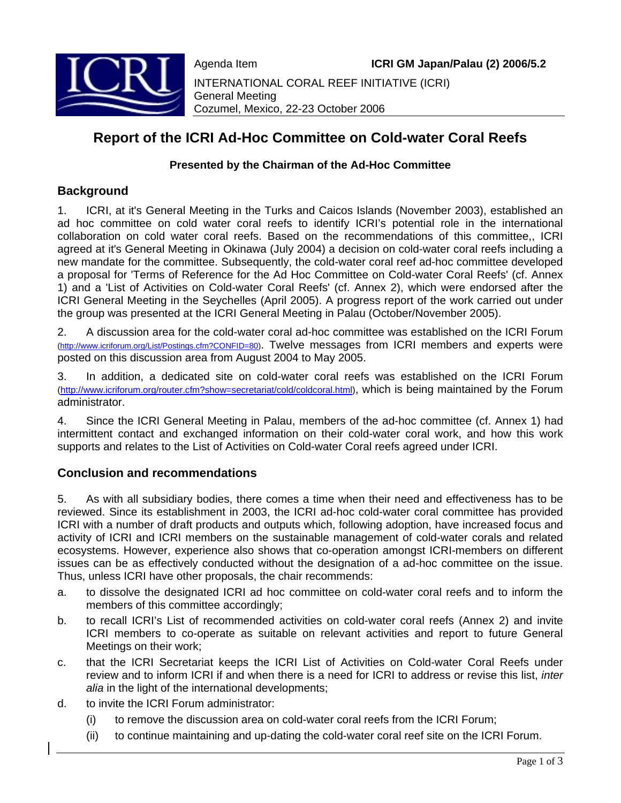

Agenda Item **ICRI GM Japan/Palau (2) 2006/5.2** INTERNATIONAL CORAL REEF INITIATIVE (ICRI) General Meeting Cozumel, Mexico, 22-23 October 2006

# **Report of the ICRI Ad-Hoc Committee on Cold-water Coral Reefs**

### **Presented by the Chairman of the Ad-Hoc Committee**

### **Background**

1. ICRI, at it's General Meeting in the Turks and Caicos Islands (November 2003), established an ad hoc committee on cold water coral reefs to identify ICRI's potential role in the international collaboration on cold water coral reefs. Based on the recommendations of this committee,, ICRI agreed at it's General Meeting in Okinawa (July 2004) a decision on cold-water coral reefs including a new mandate for the committee. Subsequently, the cold-water coral reef ad-hoc committee developed a proposal for 'Terms of Reference for the Ad Hoc Committee on Cold-water Coral Reefs' (cf. Annex 1) and a 'List of Activities on Cold-water Coral Reefs' (cf. Annex 2), which were endorsed after the ICRI General Meeting in the Seychelles (April 2005). A progress report of the work carried out under the group was presented at the ICRI General Meeting in Palau (October/November 2005).

2. A discussion area for the cold-water coral ad-hoc committee was established on the ICRI Forum (http://www.icriforum.org/List/Postings.cfm?CONFID=80). Twelve messages from ICRI members and experts were posted on this discussion area from August 2004 to May 2005.

3. In addition, a dedicated site on cold-water coral reefs was established on the ICRI Forum (http://www.icriforum.org/router.cfm?show=secretariat/cold/coldcoral.html), which is being maintained by the Forum administrator.

4. Since the ICRI General Meeting in Palau, members of the ad-hoc committee (cf. Annex 1) had intermittent contact and exchanged information on their cold-water coral work, and how this work supports and relates to the List of Activities on Cold-water Coral reefs agreed under ICRI.

### **Conclusion and recommendations**

5. As with all subsidiary bodies, there comes a time when their need and effectiveness has to be reviewed. Since its establishment in 2003, the ICRI ad-hoc cold-water coral committee has provided ICRI with a number of draft products and outputs which, following adoption, have increased focus and activity of ICRI and ICRI members on the sustainable management of cold-water corals and related ecosystems. However, experience also shows that co-operation amongst ICRI-members on different issues can be as effectively conducted without the designation of a ad-hoc committee on the issue. Thus, unless ICRI have other proposals, the chair recommends:

- a. to dissolve the designated ICRI ad hoc committee on cold-water coral reefs and to inform the members of this committee accordingly;
- b. to recall ICRI's List of recommended activities on cold-water coral reefs (Annex 2) and invite ICRI members to co-operate as suitable on relevant activities and report to future General Meetings on their work;
- c. that the ICRI Secretariat keeps the ICRI List of Activities on Cold-water Coral Reefs under review and to inform ICRI if and when there is a need for ICRI to address or revise this list, *inter alia* in the light of the international developments;
- d. to invite the ICRI Forum administrator:
	- (i) to remove the discussion area on cold-water coral reefs from the ICRI Forum;
	- (ii) to continue maintaining and up-dating the cold-water coral reef site on the ICRI Forum.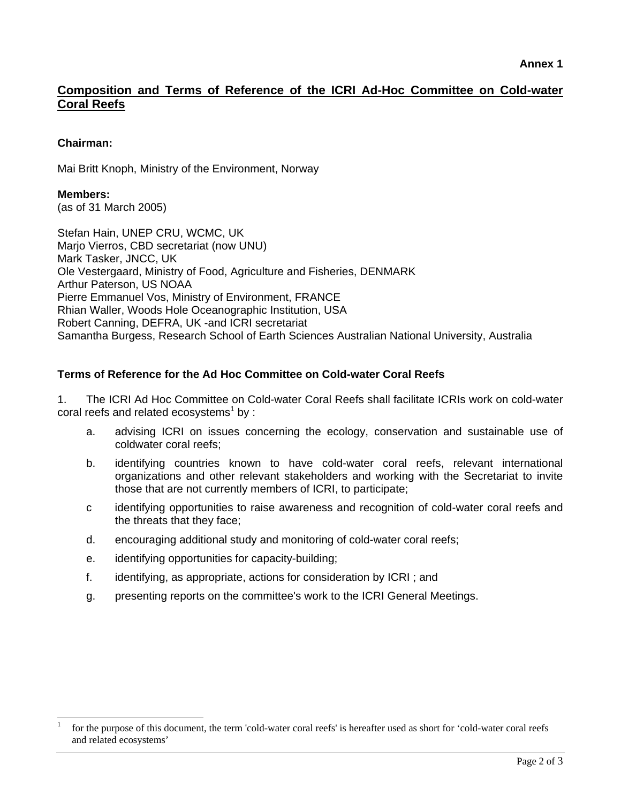## **Composition and Terms of Reference of the ICRI Ad-Hoc Committee on Cold-water Coral Reefs**

### **Chairman:**

Mai Britt Knoph, Ministry of the Environment, Norway

### **Members:**

l

(as of 31 March 2005)

Stefan Hain, UNEP CRU, WCMC, UK Marjo Vierros, CBD secretariat (now UNU) Mark Tasker, JNCC, UK Ole Vestergaard, Ministry of Food, Agriculture and Fisheries, DENMARK Arthur Paterson, US NOAA Pierre Emmanuel Vos, Ministry of Environment, FRANCE Rhian Waller, Woods Hole Oceanographic Institution, USA Robert Canning, DEFRA, UK -and ICRI secretariat Samantha Burgess, Research School of Earth Sciences Australian National University, Australia

### **Terms of Reference for the Ad Hoc Committee on Cold-water Coral Reefs**

1. The ICRI Ad Hoc Committee on Cold-water Coral Reefs shall facilitate ICRIs work on cold-water coral reefs and related ecosystems<sup>1</sup> by :

- a. advising ICRI on issues concerning the ecology, conservation and sustainable use of coldwater coral reefs;
- b. identifying countries known to have cold-water coral reefs, relevant international organizations and other relevant stakeholders and working with the Secretariat to invite those that are not currently members of ICRI, to participate;
- c identifying opportunities to raise awareness and recognition of cold-water coral reefs and the threats that they face;
- d. encouraging additional study and monitoring of cold-water coral reefs;
- e. identifying opportunities for capacity-building;
- f. identifying, as appropriate, actions for consideration by ICRI ; and
- g. presenting reports on the committee's work to the ICRI General Meetings.

<sup>1</sup> for the purpose of this document, the term 'cold-water coral reefs' is hereafter used as short for 'cold-water coral reefs and related ecosystems'